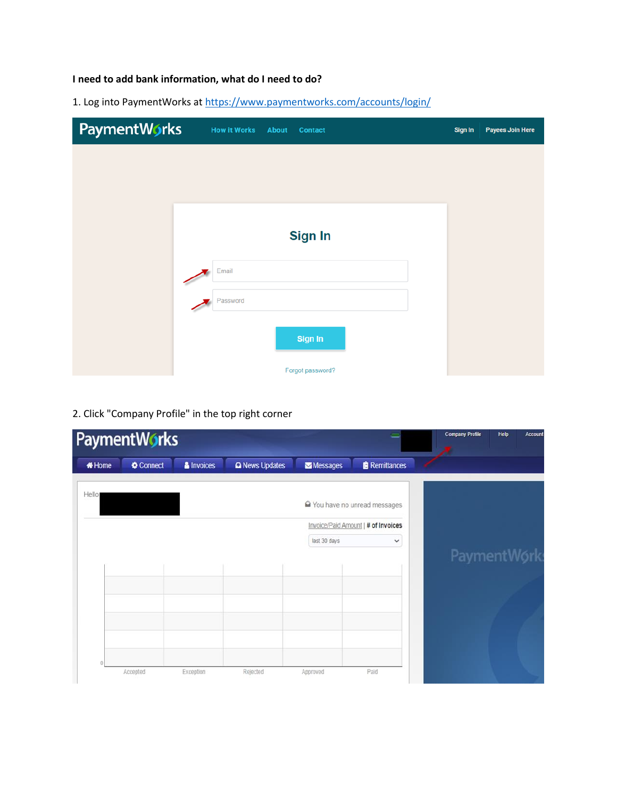# I need to add bank information, what do I need to do?

1. Log into PaymentWorks at https://www.paymentworks.com/accounts/login/

| PaymentWorks | <b>How it Works</b><br><b>About</b><br><b>Contact</b> | Sign In | <b>Payees Join Here</b> |
|--------------|-------------------------------------------------------|---------|-------------------------|
|              |                                                       |         |                         |
|              |                                                       |         |                         |
|              |                                                       |         |                         |
|              | <b>Sign In</b>                                        |         |                         |
|              | Email                                                 |         |                         |
|              | Password                                              |         |                         |
|              | Sign In                                               |         |                         |
|              | Forgot password?                                      |         |                         |

# 2. Click "Company Profile" in the top right corner

|              | <b>PaymentWorks</b> |            |                       |              |                                     | <b>Company Profile</b><br>Help<br>Account |
|--------------|---------------------|------------|-----------------------|--------------|-------------------------------------|-------------------------------------------|
| <b>#Home</b> | Connect             | & Invoices | <b>Q</b> News Updates | Messages     | <b>Remittances</b>                  |                                           |
| Hello        |                     |            |                       |              | You have no unread messages         |                                           |
|              |                     |            |                       |              | Invoice/Paid Amount   # of Invoices |                                           |
|              |                     |            |                       | last 30 days | $\checkmark$                        |                                           |
|              |                     |            |                       |              |                                     | PaymentWork                               |
|              |                     |            |                       |              |                                     |                                           |
|              |                     |            |                       |              |                                     |                                           |
|              |                     |            |                       |              |                                     |                                           |
|              |                     |            |                       |              |                                     |                                           |
|              |                     |            |                       |              |                                     |                                           |
|              | Accepted            | Exception  | Rejected              | Approved     | Paid                                |                                           |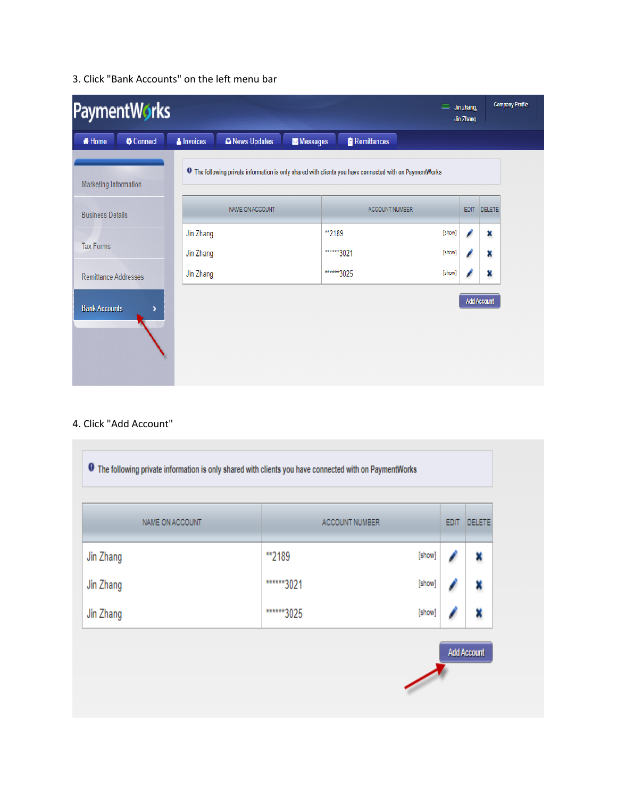## 3. Click "Bank Accounts" on the left menu bar

| PaymentWorks<br>Jin zhang,<br>=<br>Jin Zhang |                   |                                                                                                                |          |                    | Company Profile |       |                    |  |
|----------------------------------------------|-------------------|----------------------------------------------------------------------------------------------------------------|----------|--------------------|-----------------|-------|--------------------|--|
| Connect<br><b><i>K</i></b> Home              | <b>A</b> Invoices | A News Updates                                                                                                 | Messages | <b>Remittances</b> |                 |       |                    |  |
| Marketing Information                        |                   | <b>O</b> The following private information is only shared with clients you have connected with on PaymentWorks |          |                    |                 |       |                    |  |
| <b>Business Details</b>                      |                   | NAME ON ACCOUNT                                                                                                |          | ACCOUNT NUMBER     |                 | EDIT. | <b>DELETE</b>      |  |
|                                              | Jin Zhang         |                                                                                                                | **2189   |                    | [show]          |       | ×                  |  |
| <b>Tax Forms</b>                             | Jin Zhang         |                                                                                                                |          | ******3021         | [show]          |       | ×                  |  |
| <b>Remittance Addresses</b>                  | Jin Zhang         |                                                                                                                |          | ******3025         | [show]          |       | ×                  |  |
| <b>Bank Accounts</b>                         |                   |                                                                                                                |          |                    |                 |       | <b>Add Account</b> |  |

### 4. Click "Add Account"

| NAME ON ACCOUNT | ACCOUNT NUMBER |        | <b>EDIT</b> | DELETE |
|-----------------|----------------|--------|-------------|--------|
| Jin Zhang       | **2189         | [show] |             | x      |
| Jin Zhang       | ******3021     | [show] |             |        |
| Jin Zhang       | ******3025     | [show] |             |        |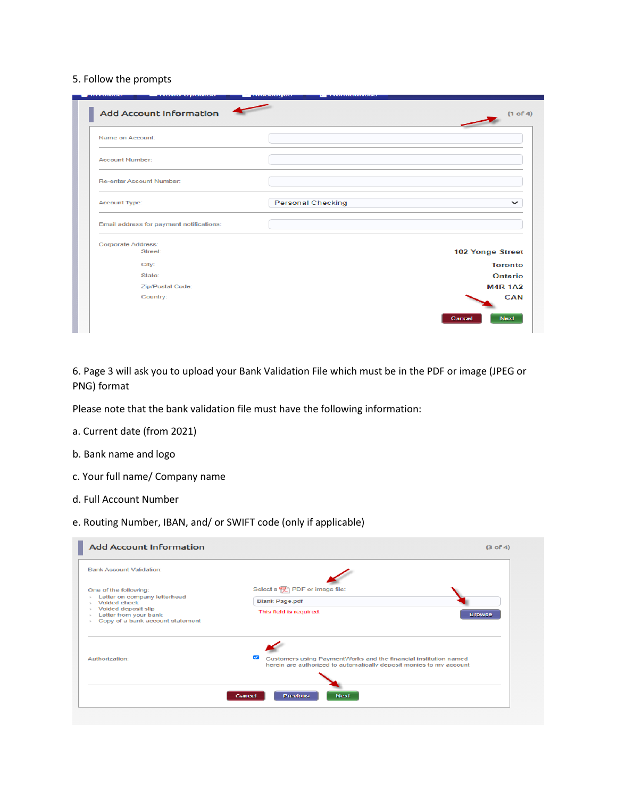#### 5. Follow the prompts

| Name on Account:                         |                          |                  |
|------------------------------------------|--------------------------|------------------|
| <b>Account Number:</b>                   |                          |                  |
| Re-enter Account Number:                 |                          |                  |
| Account Type:                            | <b>Personal Checking</b> | $\check{ }$      |
| Email address for payment notifications: |                          |                  |
| Corporate Address:                       |                          |                  |
| <b>Street:</b>                           |                          | 102 Yonge Street |
| City:                                    |                          | <b>Toronto</b>   |
| State:                                   |                          | Ontario          |
| Zip/Postal Code:                         |                          | <b>M4R 1A2</b>   |
| Country:                                 |                          | <b>CAN</b>       |

6. Page 3 will ask you to upload your Bank Validation File which must be in the PDF or image (JPEG or PNG) format

Please note that the bank validation file must have the following information:

- a. Current date (from 2021)
- b. Bank name and logo
- c. Your full name/ Company name
- d. Full Account Number

### e. Routing Number, IBAN, and/ or SWIFT code (only if applicable)

| <b>Add Account Information</b><br><b>Bank Account Validation:</b>                                           | (3 of 4)                                                                                                                                     |
|-------------------------------------------------------------------------------------------------------------|----------------------------------------------------------------------------------------------------------------------------------------------|
| One of the following:<br>Letter on company letterhead<br>$\scriptstyle\rm{30}$<br>Voided check<br>$\alpha$  | Select a <b>PU</b> PDF or image file:<br><b>Blank Page.pdf</b>                                                                               |
| Voided deposit slip<br>Letter from your bank<br>$\rightarrow$<br>Copy of a bank account statement<br>$\sim$ | This field is required.<br><b>Browse</b>                                                                                                     |
|                                                                                                             |                                                                                                                                              |
| Authorization:                                                                                              | ☑<br>Customers using PaymentWorks and the financial institution named<br>herein are authorized to automatically deposit monies to my account |
|                                                                                                             | <b>Next</b><br><b>Previous</b><br>Cancel                                                                                                     |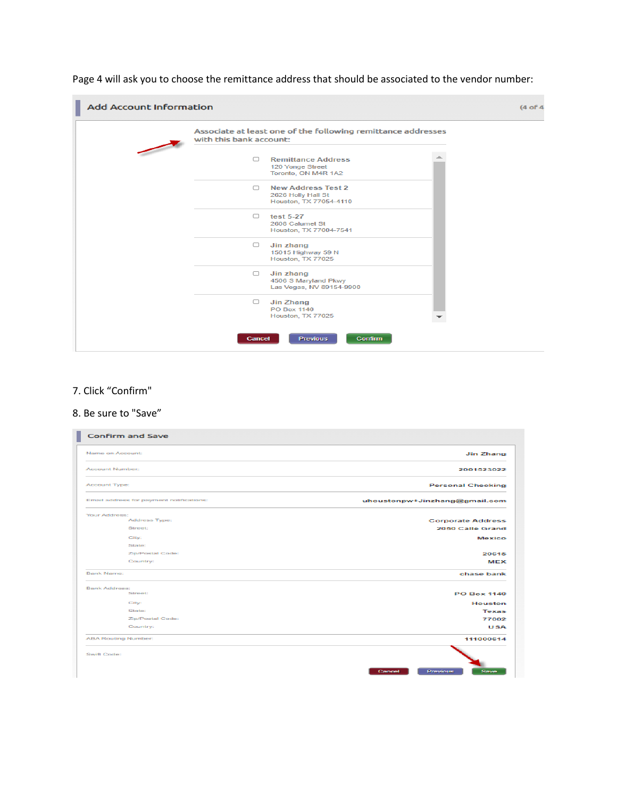Page 4 will ask you to choose the remittance address that should be associated to the vendor number:



### 7. Click "Confirm"

#### 8. Be sure to "Save"

| <b>Confirm and Save</b>                  |                                              |
|------------------------------------------|----------------------------------------------|
| Name on Account:                         | <b>Jin Zhang</b>                             |
| Account Number:                          | 2001523022                                   |
| Account Type:                            | <b>Personal Checking</b>                     |
| Email address for payment notifications: | uhoustonpw+Jinzhang@gmail.com                |
| Your Address:<br>Address Type:           |                                              |
| Street:                                  | <b>Corporate Address</b><br>2050 Calle Grand |
|                                          |                                              |
| City:                                    | Mexico                                       |
| <b>State:</b>                            |                                              |
| Zip/Postal Code:                         | 20615                                        |
| Country:                                 | MEX                                          |
| Barnk Name:                              | chase bank                                   |
| <b>Barrik Addresse:</b>                  |                                              |
| Street:                                  | <b>PO Box 1140</b>                           |
| City:                                    | <b>Houston</b>                               |
| <b>State:</b>                            | <b>Texas</b>                                 |
| Zip/Postal Code:                         | 77002                                        |
| Country:                                 | <b>USA</b>                                   |
| <b>ABA Routing Number:</b>               | 111000614                                    |
| Swift Code:                              |                                              |
|                                          | Save<br>Cancel<br>Previous                   |